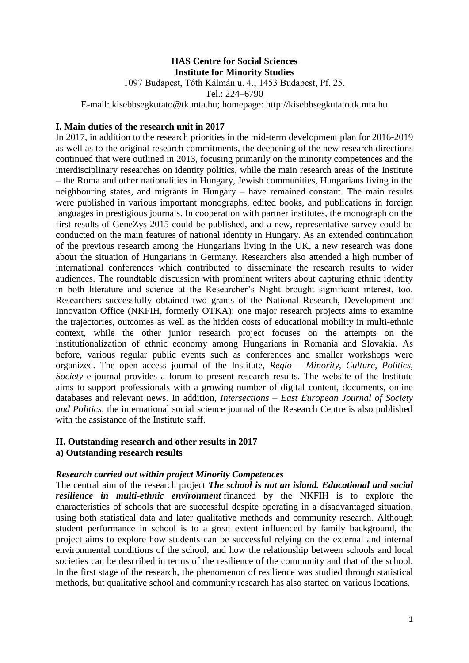# **HAS Centre for Social Sciences Institute for Minority Studies**

1097 Budapest, Tóth Kálmán u. 4.; 1453 Budapest, Pf. 25.

Tel.: 224–6790

E-mail: [kisebbsegkutato@tk.mta.hu;](mailto:kisebbsegkutato@tk.mta.hu) homepage: [http://kisebbsegkutato.tk.mta.hu](http://kisebbsegkutato.tk.mta.hu/)

#### **I. Main duties of the research unit in 2017**

In 2017, in addition to the research priorities in the mid-term development plan for 2016-2019 as well as to the original research commitments, the deepening of the new research directions continued that were outlined in 2013, focusing primarily on the minority competences and the interdisciplinary researches on identity politics, while the main research areas of the Institute – the Roma and other nationalities in Hungary, Jewish communities, Hungarians living in the neighbouring states, and migrants in Hungary – have remained constant. The main results were published in various important monographs, edited books, and publications in foreign languages in prestigious journals. In cooperation with partner institutes, the monograph on the first results of GeneZys 2015 could be published, and a new, representative survey could be conducted on the main features of national identity in Hungary. As an extended continuation of the previous research among the Hungarians living in the UK, a new research was done about the situation of Hungarians in Germany. Researchers also attended a high number of international conferences which contributed to disseminate the research results to wider audiences. The roundtable discussion with prominent writers about capturing ethnic identity in both literature and science at the Researcher's Night brought significant interest, too. Researchers successfully obtained two grants of the National Research, Development and Innovation Office (NKFIH, formerly OTKA): one major research projects aims to examine the trajectories, outcomes as well as the hidden costs of educational mobility in multi-ethnic context, while the other junior research project focuses on the attempts on the institutionalization of ethnic economy among Hungarians in Romania and Slovakia. As before, various regular public events such as conferences and smaller workshops were organized. The open access journal of the Institute, *Regio – Minority, Culture, Politics, Society* e-journal provides a forum to present research results. The website of the Institute aims to support professionals with a growing number of digital content, documents, online databases and relevant news. In addition, *Intersections – East European Journal of Society and Politics*, the international social science journal of the Research Centre is also published with the assistance of the Institute staff.

#### **II. Outstanding research and other results in 2017 a) Outstanding research results**

#### *Research carried out within project Minority Competences*

The central aim of the research project *The school is not an island. Educational and social resilience in multi-ethnic environment* financed by the NKFIH is to explore the characteristics of schools that are successful despite operating in a disadvantaged situation, using both statistical data and later qualitative methods and community research. Although student performance in school is to a great extent influenced by family background, the project aims to explore how students can be successful relying on the external and internal environmental conditions of the school, and how the relationship between schools and local societies can be described in terms of the resilience of the community and that of the school. In the first stage of the research, the phenomenon of resilience was studied through statistical methods, but qualitative school and community research has also started on various locations.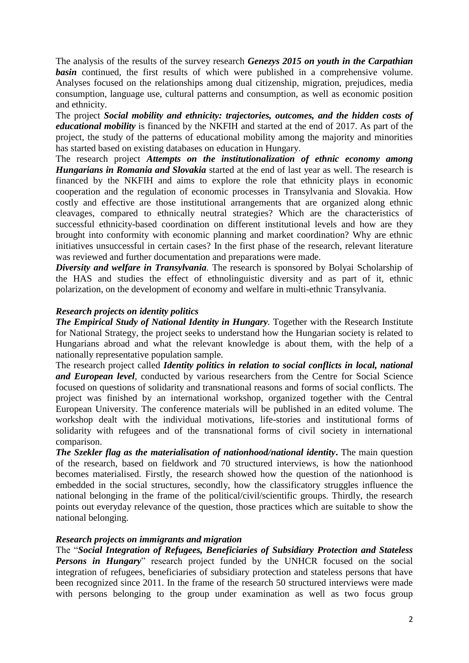The analysis of the results of the survey research *Genezys 2015 on youth in the Carpathian basin* continued, the first results of which were published in a comprehensive volume. Analyses focused on the relationships among dual citizenship, migration, prejudices, media consumption, language use, cultural patterns and consumption, as well as economic position and ethnicity.

The project *Social mobility and ethnicity: trajectories, outcomes, and the hidden costs of educational mobility* is financed by the NKFIH and started at the end of 2017. As part of the project, the study of the patterns of educational mobility among the majority and minorities has started based on existing databases on education in Hungary.

The research project *Attempts on the institutionalization of ethnic economy among Hungarians in Romania and Slovakia* started at the end of last year as well. The research is financed by the NKFIH and aims to explore the role that ethnicity plays in economic cooperation and the regulation of economic processes in Transylvania and Slovakia. How costly and effective are those institutional arrangements that are organized along ethnic cleavages, compared to ethnically neutral strategies? Which are the characteristics of successful ethnicity-based coordination on different institutional levels and how are they brought into conformity with economic planning and market coordination? Why are ethnic initiatives unsuccessful in certain cases? In the first phase of the research, relevant literature was reviewed and further documentation and preparations were made.

*Diversity and welfare in Transylvania.* The research is sponsored by Bolyai Scholarship of the HAS and studies the effect of ethnolinguistic diversity and as part of it, ethnic polarization, on the development of economy and welfare in multi-ethnic Transylvania.

#### *Research projects on identity politics*

*The Empirical Study of National Identity in Hungary.* Together with the Research Institute for National Strategy, the project seeks to understand how the Hungarian society is related to Hungarians abroad and what the relevant knowledge is about them, with the help of a nationally representative population sample.

The research project called *Identity politics in relation to social conflicts in local, national and European level*, conducted by various researchers from the Centre for Social Science focused on questions of solidarity and transnational reasons and forms of social conflicts. The project was finished by an international workshop, organized together with the Central European University. The conference materials will be published in an edited volume. The workshop dealt with the individual motivations, life-stories and institutional forms of solidarity with refugees and of the transnational forms of civil society in international comparison.

*The Szekler flag as the materialisation of nationhood/national identity***.** The main question of the research, based on fieldwork and 70 structured interviews, is how the nationhood becomes materialised. Firstly, the research showed how the question of the nationhood is embedded in the social structures, secondly, how the classificatory struggles influence the national belonging in the frame of the political/civil/scientific groups. Thirdly, the research points out everyday relevance of the question, those practices which are suitable to show the national belonging.

## *Research projects on immigrants and migration*

The "*Social Integration of Refugees, Beneficiaries of Subsidiary Protection and Stateless*  Persons in Hungary" research project funded by the UNHCR focused on the social integration of refugees, beneficiaries of subsidiary protection and stateless persons that have been recognized since 2011. In the frame of the research 50 structured interviews were made with persons belonging to the group under examination as well as two focus group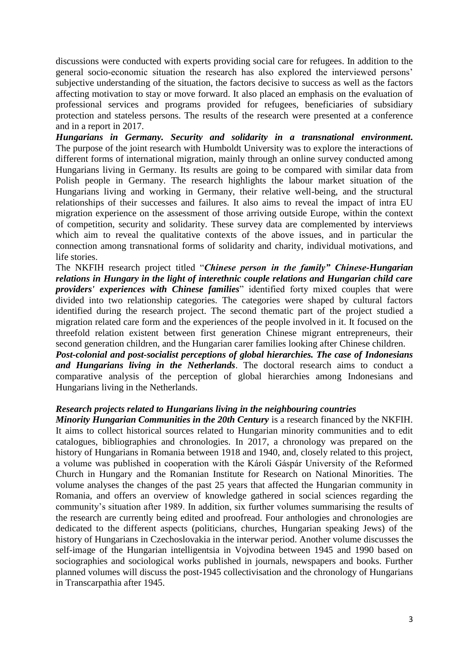discussions were conducted with experts providing social care for refugees. In addition to the general socio-economic situation the research has also explored the interviewed persons' subjective understanding of the situation, the factors decisive to success as well as the factors affecting motivation to stay or move forward. It also placed an emphasis on the evaluation of professional services and programs provided for refugees, beneficiaries of subsidiary protection and stateless persons. The results of the research were presented at a conference and in a report in 2017.

*Hungarians in Germany. Security and solidarity in a transnational environment.*  The purpose of the joint research with Humboldt University was to explore the interactions of different forms of international migration, mainly through an online survey conducted among Hungarians living in Germany. Its results are going to be compared with similar data from Polish people in Germany. The research highlights the labour market situation of the Hungarians living and working in Germany, their relative well-being, and the structural relationships of their successes and failures. It also aims to reveal the impact of intra EU migration experience on the assessment of those arriving outside Europe, within the context of competition, security and solidarity. These survey data are complemented by interviews which aim to reveal the qualitative contexts of the above issues, and in particular the connection among transnational forms of solidarity and charity, individual motivations, and life stories.

The NKFIH research project titled "*Chinese person in the family" Chinese-Hungarian relations in Hungary in the light of interethnic couple relations and Hungarian child care providers' experiences with Chinese families*" identified forty mixed couples that were divided into two relationship categories. The categories were shaped by cultural factors identified during the research project. The second thematic part of the project studied a migration related care form and the experiences of the people involved in it. It focused on the threefold relation existent between first generation Chinese migrant entrepreneurs, their second generation children, and the Hungarian carer families looking after Chinese children.

*Post-colonial and post-socialist perceptions of global hierarchies. The case of Indonesians and Hungarians living in the Netherlands*. The doctoral research aims to conduct a comparative analysis of the perception of global hierarchies among Indonesians and Hungarians living in the Netherlands.

#### *Research projects related to Hungarians living in the neighbouring countries*

*Minority Hungarian Communities in the 20th Century* is a research financed by the NKFIH. It aims to collect historical sources related to Hungarian minority communities and to edit catalogues, bibliographies and chronologies. In 2017, a chronology was prepared on the history of Hungarians in Romania between 1918 and 1940, and, closely related to this project, a volume was published in cooperation with the Károli Gáspár University of the Reformed Church in Hungary and the Romanian Institute for Research on National Minorities. The volume analyses the changes of the past 25 years that affected the Hungarian community in Romania, and offers an overview of knowledge gathered in social sciences regarding the community's situation after 1989. In addition, six further volumes summarising the results of the research are currently being edited and proofread. Four anthologies and chronologies are dedicated to the different aspects (politicians, churches, Hungarian speaking Jews) of the history of Hungarians in Czechoslovakia in the interwar period. Another volume discusses the self-image of the Hungarian intelligentsia in Vojvodina between 1945 and 1990 based on sociographies and sociological works published in journals, newspapers and books. Further planned volumes will discuss the post-1945 collectivisation and the chronology of Hungarians in Transcarpathia after 1945.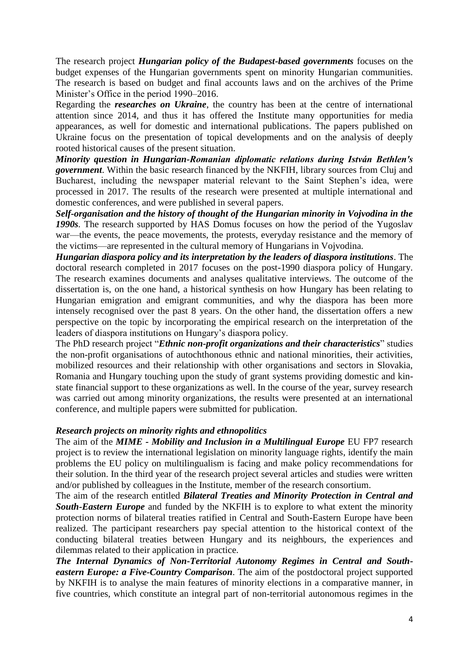The research project *Hungarian policy of the Budapest-based governments* focuses on the budget expenses of the Hungarian governments spent on minority Hungarian communities. The research is based on budget and final accounts laws and on the archives of the Prime Minister's Office in the period 1990–2016.

Regarding the *researches on Ukraine*, the country has been at the centre of international attention since 2014, and thus it has offered the Institute many opportunities for media appearances, as well for domestic and international publications. The papers published on Ukraine focus on the presentation of topical developments and on the analysis of deeply rooted historical causes of the present situation.

*Minority question in Hungarian-Romanian diplomatic relations during István Bethlen's government*. Within the basic research financed by the NKFIH, library sources from Cluj and Bucharest, including the newspaper material relevant to the Saint Stephen's idea, were processed in 2017. The results of the research were presented at multiple international and domestic conferences, and were published in several papers.

*Self-organisation and the history of thought of the Hungarian minority in Vojvodina in the 1990s.* The research supported by HAS Domus focuses on how the period of the Yugoslav war—the events, the peace movements, the protests, everyday resistance and the memory of the victims—are represented in the cultural memory of Hungarians in Vojvodina.

*Hungarian diaspora policy and its interpretation by the leaders of diaspora institutions*. The doctoral research completed in 2017 focuses on the post-1990 diaspora policy of Hungary. The research examines documents and analyses qualitative interviews. The outcome of the dissertation is, on the one hand, a historical synthesis on how Hungary has been relating to Hungarian emigration and emigrant communities, and why the diaspora has been more intensely recognised over the past 8 years. On the other hand, the dissertation offers a new perspective on the topic by incorporating the empirical research on the interpretation of the leaders of diaspora institutions on Hungary's diaspora policy.

The PhD research project "*Ethnic non-profit organizations and their characteristics*" studies the non-profit organisations of autochthonous ethnic and national minorities, their activities, mobilized resources and their relationship with other organisations and sectors in Slovakia, Romania and Hungary touching upon the study of grant systems providing domestic and kinstate financial support to these organizations as well. In the course of the year, survey research was carried out among minority organizations, the results were presented at an international conference, and multiple papers were submitted for publication.

## *Research projects on minority rights and ethnopolitics*

The aim of the *MIME - Mobility and Inclusion in a Multilingual Europe* EU FP7 research project is to review the international legislation on minority language rights, identify the main problems the EU policy on multilingualism is facing and make policy recommendations for their solution. In the third year of the research project several articles and studies were written and/or published by colleagues in the Institute, member of the research consortium.

The aim of the research entitled *Bilateral Treaties and Minority Protection in Central and South-Eastern Europe* and funded by the NKFIH is to explore to what extent the minority protection norms of bilateral treaties ratified in Central and South-Eastern Europe have been realized. The participant researchers pay special attention to the historical context of the conducting bilateral treaties between Hungary and its neighbours, the experiences and dilemmas related to their application in practice.

*The Internal Dynamics of Non-Territorial Autonomy Regimes in Central and Southeastern Europe: a Five-Country Comparison*. The aim of the postdoctoral project supported by NKFIH is to analyse the main features of minority elections in a comparative manner, in five countries, which constitute an integral part of non-territorial autonomous regimes in the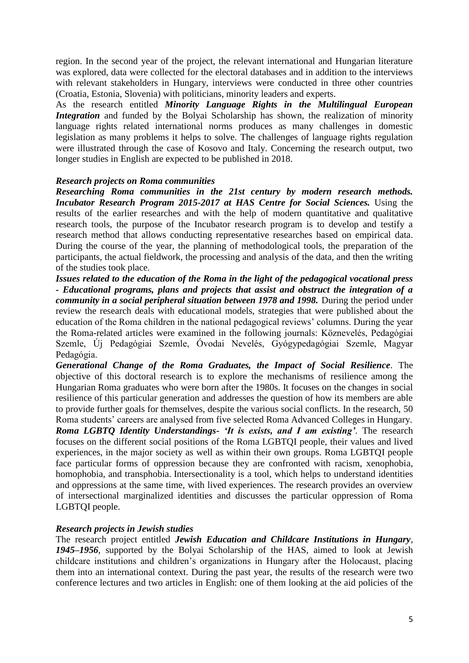region. In the second year of the project, the relevant international and Hungarian literature was explored, data were collected for the electoral databases and in addition to the interviews with relevant stakeholders in Hungary, interviews were conducted in three other countries (Croatia, Estonia, Slovenia) with politicians, minority leaders and experts.

As the research entitled *Minority Language Rights in the Multilingual European Integration* and funded by the Bolyai Scholarship has shown, the realization of minority language rights related international norms produces as many challenges in domestic legislation as many problems it helps to solve. The challenges of language rights regulation were illustrated through the case of Kosovo and Italy. Concerning the research output, two longer studies in English are expected to be published in 2018.

#### *Research projects on Roma communities*

*Researching Roma communities in the 21st century by modern research methods. Incubator Research Program 2015-2017 at HAS Centre for Social Sciences.* Using the results of the earlier researches and with the help of modern quantitative and qualitative research tools, the purpose of the Incubator research program is to develop and testify a research method that allows conducting representative researches based on empirical data. During the course of the year, the planning of methodological tools, the preparation of the participants, the actual fieldwork, the processing and analysis of the data, and then the writing of the studies took place.

*Issues related to the education of the Roma in the light of the pedagogical vocational press - Educational programs, plans and projects that assist and obstruct the integration of a community in a social peripheral situation between 1978 and 1998.* During the period under review the research deals with educational models, strategies that were published about the education of the Roma children in the national pedagogical reviews' columns. During the year the Roma-related articles were examined in the following journals: Köznevelés, Pedagógiai Szemle, Új Pedagógiai Szemle, Óvodai Nevelés, Gyógypedagógiai Szemle, Magyar Pedagógia.

*Generational Change of the Roma Graduates, the Impact of Social Resilience.* The objective of this doctoral research is to explore the mechanisms of resilience among the Hungarian Roma graduates who were born after the 1980s. It focuses on the changes in social resilience of this particular generation and addresses the question of how its members are able to provide further goals for themselves, despite the various social conflicts. In the research, 50 Roma students' careers are analysed from five selected Roma Advanced Colleges in Hungary. *Roma LGBTQ Identity Understandings- 'It is exists, and I am existing'.* The research focuses on the different social positions of the Roma LGBTQI people, their values and lived experiences, in the major society as well as within their own groups. Roma LGBTQI people face particular forms of oppression because they are confronted with racism, xenophobia, homophobia, and transphobia. Intersectionality is a tool, which helps to understand identities and oppressions at the same time, with lived experiences. The research provides an overview of intersectional marginalized identities and discusses the particular oppression of Roma LGBTQI people.

## *Research projects in Jewish studies*

The research project entitled *Jewish Education and Childcare Institutions in Hungary, 1945–1956*, supported by the Bolyai Scholarship of the HAS, aimed to look at Jewish childcare institutions and children's organizations in Hungary after the Holocaust, placing them into an international context. During the past year, the results of the research were two conference lectures and two articles in English: one of them looking at the aid policies of the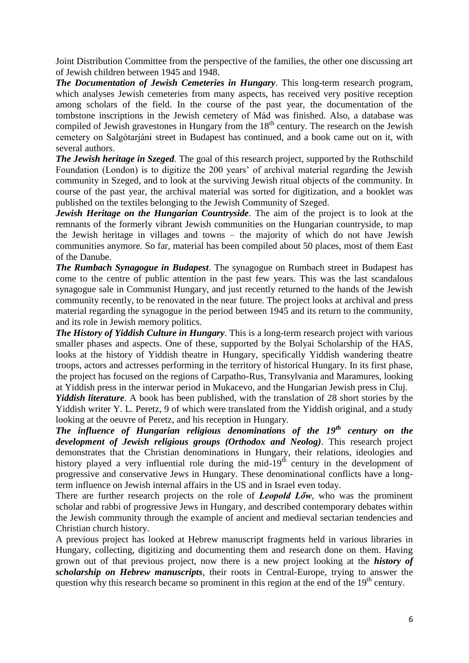Joint Distribution Committee from the perspective of the families, the other one discussing art of Jewish children between 1945 and 1948.

*The Documentation of Jewish Cemeteries in Hungary*. This long-term research program, which analyses Jewish cemeteries from many aspects, has received very positive reception among scholars of the field. In the course of the past year, the documentation of the tombstone inscriptions in the Jewish cemetery of Mád was finished. Also, a database was compiled of Jewish gravestones in Hungary from the  $18<sup>th</sup>$  century. The research on the Jewish cemetery on Salgótarjáni street in Budapest has continued, and a book came out on it, with several authors.

*The Jewish heritage in Szeged.* The goal of this research project, supported by the Rothschild Foundation (London) is to digitize the 200 years' of archival material regarding the Jewish community in Szeged, and to look at the surviving Jewish ritual objects of the community. In course of the past year, the archival material was sorted for digitization, and a booklet was published on the textiles belonging to the Jewish Community of Szeged.

*Jewish Heritage on the Hungarian Countryside.* The aim of the project is to look at the remnants of the formerly vibrant Jewish communities on the Hungarian countryside, to map the Jewish heritage in villages and towns – the majority of which do not have Jewish communities anymore. So far, material has been compiled about 50 places, most of them East of the Danube.

*The Rumbach Synagogue in Budapest*. The synagogue on Rumbach street in Budapest has come to the centre of public attention in the past few years. This was the last scandalous synagogue sale in Communist Hungary, and just recently returned to the hands of the Jewish community recently, to be renovated in the near future. The project looks at archival and press material regarding the synagogue in the period between 1945 and its return to the community, and its role in Jewish memory politics.

*The History of Yiddish Culture in Hungary.* This is a long-term research project with various smaller phases and aspects. One of these, supported by the Bolyai Scholarship of the HAS, looks at the history of Yiddish theatre in Hungary, specifically Yiddish wandering theatre troops, actors and actresses performing in the territory of historical Hungary. In its first phase, the project has focused on the regions of Carpatho-Rus, Transylvania and Maramures, looking at Yiddish press in the interwar period in Mukacevo, and the Hungarian Jewish press in Cluj.

*Yiddish literature.* A book has been published, with the translation of 28 short stories by the Yiddish writer Y. L. Peretz, 9 of which were translated from the Yiddish original, and a study looking at the oeuvre of Peretz, and his reception in Hungary.

*The influence of Hungarian religious denominations of the 19th century on the development of Jewish religious groups (Orthodox and Neolog).* This research project demonstrates that the Christian denominations in Hungary, their relations, ideologies and history played a very influential role during the mid- $19<sup>th</sup>$  century in the development of progressive and conservative Jews in Hungary. These denominational conflicts have a longterm influence on Jewish internal affairs in the US and in Israel even today.

There are further research projects on the role of *Leopold Lőw*, who was the prominent scholar and rabbi of progressive Jews in Hungary, and described contemporary debates within the Jewish community through the example of ancient and medieval sectarian tendencies and Christian church history.

A previous project has looked at Hebrew manuscript fragments held in various libraries in Hungary, collecting, digitizing and documenting them and research done on them. Having grown out of that previous project, now there is a new project looking at the *history of scholarship on Hebrew manuscripts*, their roots in Central-Europe, trying to answer the question why this research became so prominent in this region at the end of the  $19<sup>th</sup>$  century.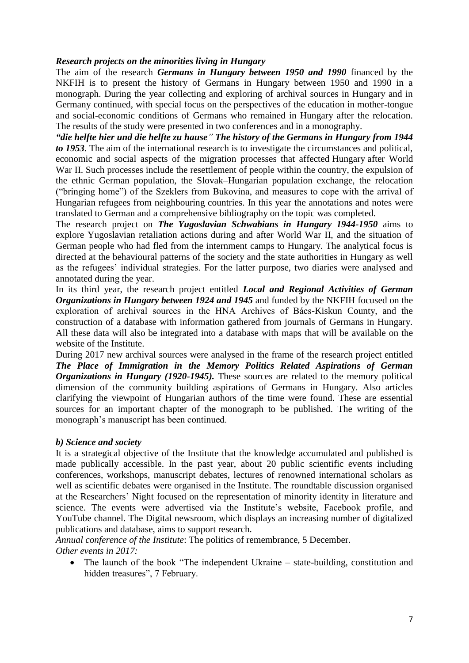#### *Research projects on the minorities living in Hungary*

The aim of the research *Germans in Hungary between 1950 and 1990* financed by the NKFIH is to present the history of Germans in Hungary between 1950 and 1990 in a monograph. During the year collecting and exploring of archival sources in Hungary and in Germany continued, with special focus on the perspectives of the education in mother-tongue and social-economic conditions of Germans who remained in Hungary after the relocation. The results of the study were presented in two conferences and in a monography.

*"die helfte hier und die helfte zu hause" The history of the Germans in Hungary from 1944 to 1953*. The aim of the international research is to investigate the circumstances and political, economic and social aspects of the migration processes that affected Hungary after World War II. Such processes include the resettlement of people within the country, the expulsion of the ethnic German population, the Slovak–Hungarian population exchange, the relocation ("bringing home") of the Szeklers from Bukovina, and measures to cope with the arrival of Hungarian refugees from neighbouring countries. In this year the annotations and notes were translated to German and a comprehensive bibliography on the topic was completed.

The research project on *The Yugoslavian Schwabians in Hungary 1944-1950* aims to explore Yugoslavian retaliation actions during and after World War II, and the situation of German people who had fled from the internment camps to Hungary. The analytical focus is directed at the behavioural patterns of the society and the state authorities in Hungary as well as the refugees' individual strategies. For the latter purpose, two diaries were analysed and annotated during the year.

In its third year, the research project entitled *Local and Regional Activities of German Organizations in Hungary between 1924 and 1945* and funded by the NKFIH focused on the exploration of archival sources in the HNA Archives of Bács-Kiskun County, and the construction of a database with information gathered from journals of Germans in Hungary. All these data will also be integrated into a database with maps that will be available on the website of the Institute.

During 2017 new archival sources were analysed in the frame of the research project entitled *The Place of Immigration in the Memory Politics Related Aspirations of German Organizations in Hungary (1920-1945).* These sources are related to the memory political dimension of the community building aspirations of Germans in Hungary. Also articles clarifying the viewpoint of Hungarian authors of the time were found. These are essential sources for an important chapter of the monograph to be published. The writing of the monograph's manuscript has been continued.

#### *b) Science and society*

It is a strategical objective of the Institute that the knowledge accumulated and published is made publically accessible. In the past year, about 20 public scientific events including conferences, workshops, manuscript debates, lectures of renowned international scholars as well as scientific debates were organised in the Institute. The roundtable discussion organised at the Researchers' Night focused on the representation of minority identity in literature and science. The events were advertised via the Institute's website, Facebook profile, and YouTube channel. The Digital newsroom, which displays an increasing number of digitalized publications and database, aims to support research.

*Annual conference of the Institute*: The politics of remembrance, 5 December. *Other events in 2017:*

• The launch of the book "The independent Ukraine – state-building, constitution and hidden treasures", 7 February.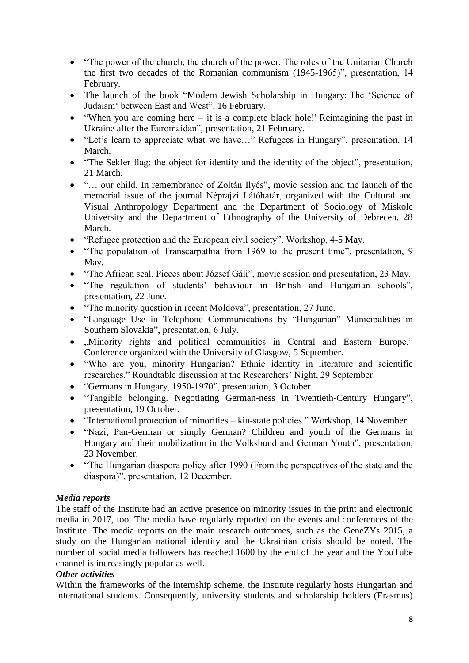- "The power of the church, the church of the power. The roles of the Unitarian Church the first two decades of the Romanian communism (1945-1965)", presentation, 14 February.
- The launch of the book "Modern Jewish Scholarship in Hungary: The 'Science of Judaism' between East and West", 16 February.
- "When you are coming here it is a complete black hole!' Reimagining the past in Ukraine after the Euromaidan", presentation, 21 February.
- "Let's learn to appreciate what we have..." Refugees in Hungary", presentation, 14 March.
- "The Sekler flag: the object for identity and the identity of the object", presentation, 21 March.
- "… our child. In remembrance of Zoltán Ilyés", movie session and the launch of the memorial issue of the journal Néprajzi Látóhatár, organized with the Cultural and Visual Anthropology Department and the Department of Sociology of Miskolc University and the Department of Ethnography of the University of Debrecen, 28 March.
- "Refugee protection and the European civil society". Workshop, 4-5 May.
- "The population of Transcarpathia from 1969 to the present time", presentation, 9 May.
- "The African seal. Pieces about József Gáli", movie session and presentation, 23 May.
- "The regulation of students' behaviour in British and Hungarian schools", presentation, 22 June.
- "The minority question in recent Moldova", presentation, 27 June.
- "Language Use in Telephone Communications by "Hungarian" Municipalities in Southern Slovakia", presentation, 6 July.
- "Minority rights and political communities in Central and Eastern Europe." Conference organized with the University of Glasgow, 5 September.
- "Who are you, minority Hungarian? Ethnic identity in literature and scientific researches." Roundtable discussion at the Researchers' Night, 29 September.
- "Germans in Hungary, 1950-1970", presentation, 3 October.
- "Tangible belonging. Negotiating German-ness in Twentieth-Century Hungary", presentation, 19 October.
- "International protection of minorities kin-state policies." Workshop, 14 November.
- "Nazi, Pan-German or simply German? Children and youth of the Germans in Hungary and their mobilization in the Volksbund and German Youth", presentation, 23 November.
- "The Hungarian diaspora policy after 1990 (From the perspectives of the state and the diaspora)", presentation, 12 December.

## *Media reports*

The staff of the Institute had an active presence on minority issues in the print and electronic media in 2017, too. The media have regularly reported on the events and conferences of the Institute. The media reports on the main research outcomes, such as the GeneZYs 2015, a study on the Hungarian national identity and the Ukrainian crisis should be noted. The number of social media followers has reached 1600 by the end of the year and the YouTube channel is increasingly popular as well.

## *Other activities*

Within the frameworks of the internship scheme, the Institute regularly hosts Hungarian and international students. Consequently, university students and scholarship holders (Erasmus)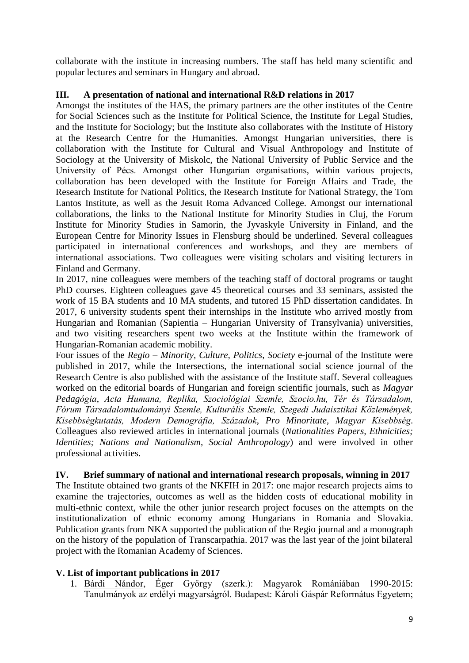collaborate with the institute in increasing numbers. The staff has held many scientific and popular lectures and seminars in Hungary and abroad.

## **III. A presentation of national and international R&D relations in 2017**

Amongst the institutes of the HAS, the primary partners are the other institutes of the Centre for Social Sciences such as the Institute for Political Science, the Institute for Legal Studies, and the Institute for Sociology; but the Institute also collaborates with the Institute of History at the Research Centre for the Humanities. Amongst Hungarian universities, there is collaboration with the Institute for Cultural and Visual Anthropology and Institute of Sociology at the University of Miskolc, the National University of Public Service and the University of Pécs. Amongst other Hungarian organisations, within various projects, collaboration has been developed with the Institute for Foreign Affairs and Trade, the Research Institute for National Politics, the Research Institute for National Strategy, the Tom Lantos Institute, as well as the Jesuit Roma Advanced College. Amongst our international collaborations, the links to the National Institute for Minority Studies in Cluj, the Forum Institute for Minority Studies in Samorin, the Jyvaskyle University in Finland, and the European Centre for Minority Issues in Flensburg should be underlined. Several colleagues participated in international conferences and workshops, and they are members of international associations. Two colleagues were visiting scholars and visiting lecturers in Finland and Germany.

In 2017, nine colleagues were members of the teaching staff of doctoral programs or taught PhD courses. Eighteen colleagues gave 45 theoretical courses and 33 seminars, assisted the work of 15 BA students and 10 MA students, and tutored 15 PhD dissertation candidates. In 2017, 6 university students spent their internships in the Institute who arrived mostly from Hungarian and Romanian (Sapientia – Hungarian University of Transylvania) universities, and two visiting researchers spent two weeks at the Institute within the framework of Hungarian-Romanian academic mobility.

Four issues of the *Regio – Minority, Culture, Politics*, *Society* e-journal of the Institute were published in 2017, while the Intersections, the international social science journal of the Research Centre is also published with the assistance of the Institute staff. Several colleagues worked on the editorial boards of Hungarian and foreign scientific journals, such as *Magyar Pedagógia*, *Acta Humana, Replika, Szociológiai Szemle, Szocio.hu, Tér és Társadalom, Fórum Társadalomtudományi Szemle, Kulturális Szemle, Szegedi Judaisztikai Közlemények, Kisebbségkutatás, Modern Demográfia, Századok*, *Pro Minoritate*, *Magyar Kisebbség*. Colleagues also reviewed articles in international journals (*Nationalities Papers, Ethnicities; Identities; Nations and Nationalism, Social Anthropology*) and were involved in other professional activities.

## **IV. Brief summary of national and international research proposals, winning in 2017**

The Institute obtained two grants of the NKFIH in 2017: one major research projects aims to examine the trajectories, outcomes as well as the hidden costs of educational mobility in multi-ethnic context, while the other junior research project focuses on the attempts on the institutionalization of ethnic economy among Hungarians in Romania and Slovakia. Publication grants from NKA supported the publication of the Regio journal and a monograph on the history of the population of Transcarpathia. 2017 was the last year of the joint bilateral project with the Romanian Academy of Sciences.

## **V. List of important publications in 2017**

1. Bárdi Nándor, Éger György (szerk.): Magyarok Romániában 1990-2015: Tanulmányok az erdélyi magyarságról. Budapest: Károli Gáspár Református Egyetem;